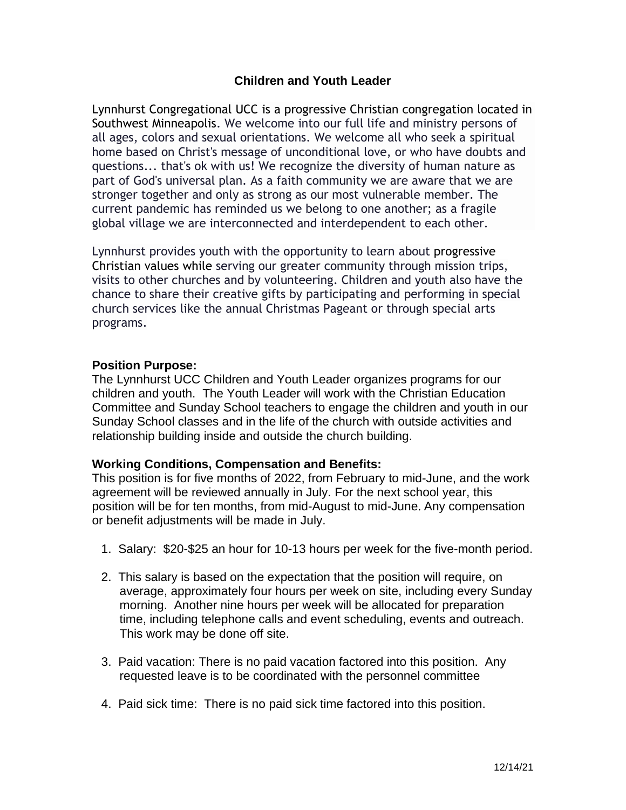## **Children and Youth Leader**

Lynnhurst Congregational UCC is a progressive Christian congregation located in Southwest Minneapolis. We welcome into our full life and ministry persons of all ages, colors and sexual orientations. We welcome all who seek a spiritual home based on Christ's message of unconditional love, or who have doubts and questions... that's ok with us! We recognize the diversity of human nature as part of God's universal plan. As a faith community we are aware that we are stronger together and only as strong as our most vulnerable member. The current pandemic has reminded us we belong to one another; as a fragile global village we are interconnected and interdependent to each other.

Lynnhurst provides youth with the opportunity to learn about progressive Christian values while serving our greater community through mission trips, visits to other churches and by volunteering. Children and youth also have the chance to share their creative gifts by participating and performing in special church services like the annual Christmas Pageant or through special arts programs.

#### **Position Purpose:**

The Lynnhurst UCC Children and Youth Leader organizes programs for our children and youth. The Youth Leader will work with the Christian Education Committee and Sunday School teachers to engage the children and youth in our Sunday School classes and in the life of the church with outside activities and relationship building inside and outside the church building.

#### **Working Conditions, Compensation and Benefits:**

This position is for five months of 2022, from February to mid-June, and the work agreement will be reviewed annually in July. For the next school year, this position will be for ten months, from mid-August to mid-June. Any compensation or benefit adjustments will be made in July.

- 1. Salary: \$20-\$25 an hour for 10-13 hours per week for the five-month period.
- 2. This salary is based on the expectation that the position will require, on average, approximately four hours per week on site, including every Sunday morning. Another nine hours per week will be allocated for preparation time, including telephone calls and event scheduling, events and outreach. This work may be done off site.
- 3. Paid vacation: There is no paid vacation factored into this position. Any requested leave is to be coordinated with the personnel committee
- 4. Paid sick time: There is no paid sick time factored into this position.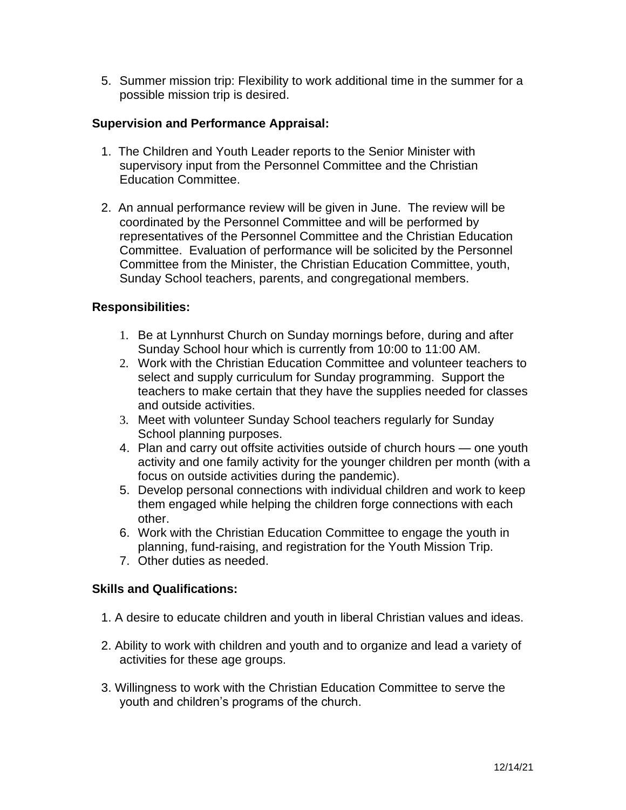5. Summer mission trip: Flexibility to work additional time in the summer for a possible mission trip is desired.

## **Supervision and Performance Appraisal:**

- 1. The Children and Youth Leader reports to the Senior Minister with supervisory input from the Personnel Committee and the Christian Education Committee.
- 2. An annual performance review will be given in June. The review will be coordinated by the Personnel Committee and will be performed by representatives of the Personnel Committee and the Christian Education Committee. Evaluation of performance will be solicited by the Personnel Committee from the Minister, the Christian Education Committee, youth, Sunday School teachers, parents, and congregational members.

#### **Responsibilities:**

- 1. Be at Lynnhurst Church on Sunday mornings before, during and after Sunday School hour which is currently from 10:00 to 11:00 AM.
- 2. Work with the Christian Education Committee and volunteer teachers to select and supply curriculum for Sunday programming. Support the teachers to make certain that they have the supplies needed for classes and outside activities.
- 3. Meet with volunteer Sunday School teachers regularly for Sunday School planning purposes.
- 4. Plan and carry out offsite activities outside of church hours one youth activity and one family activity for the younger children per month (with a focus on outside activities during the pandemic).
- 5. Develop personal connections with individual children and work to keep them engaged while helping the children forge connections with each other.
- 6. Work with the Christian Education Committee to engage the youth in planning, fund-raising, and registration for the Youth Mission Trip.
- 7. Other duties as needed.

## **Skills and Qualifications:**

- 1. A desire to educate children and youth in liberal Christian values and ideas.
- 2. Ability to work with children and youth and to organize and lead a variety of activities for these age groups.
- 3. Willingness to work with the Christian Education Committee to serve the youth and children's programs of the church.